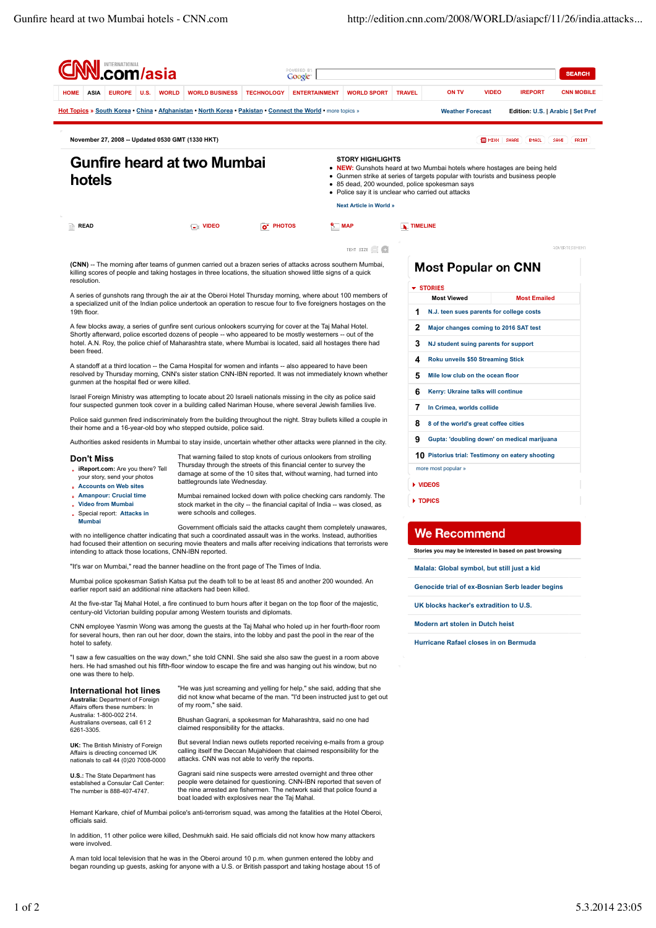